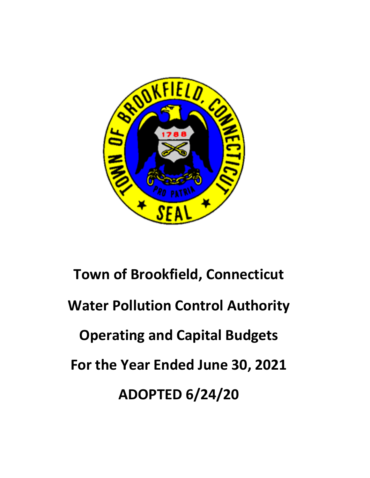

# **Town of Brookfield, Connecticut Water Pollution Control Authority Operating and Capital Budgets For the Year Ended June 30, 2021 ADOPTED 6/24/20**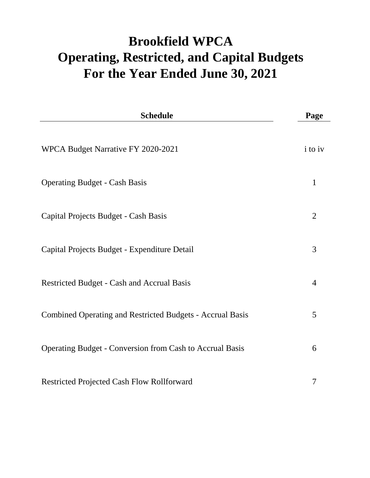# **Brookfield WPCA For the Year Ended June 30, 2021 Operating, Restricted, and Capital Budgets**

| <b>Schedule</b>                                                  | Page                  |
|------------------------------------------------------------------|-----------------------|
| WPCA Budget Narrative FY 2020-2021                               | <i>i</i> to <i>iv</i> |
| <b>Operating Budget - Cash Basis</b>                             | 1                     |
| Capital Projects Budget - Cash Basis                             | $\overline{2}$        |
| Capital Projects Budget - Expenditure Detail                     | 3                     |
| Restricted Budget - Cash and Accrual Basis                       | $\overline{4}$        |
| <b>Combined Operating and Restricted Budgets - Accrual Basis</b> | 5                     |
| Operating Budget - Conversion from Cash to Accrual Basis         | 6                     |
| <b>Restricted Projected Cash Flow Rollforward</b>                | 7                     |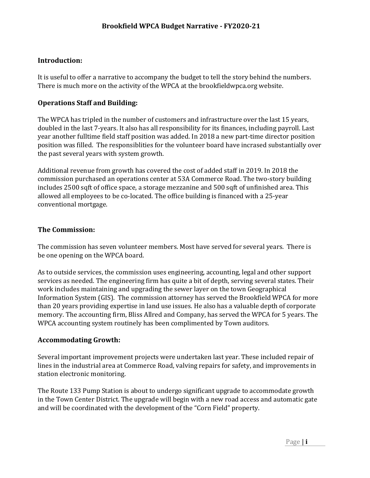### **Introduction:**

It is useful to offer a narrative to accompany the budget to tell the story behind the numbers. There is much more on the activity of the WPCA at the brookfieldwpca.org website.

### **Operations Staff and Building:**

The WPCA has tripled in the number of customers and infrastructure over the last 15 years, doubled in the last 7-years. It also has all responsibility for its finances, including payroll. Last year another fulltime field staff position was added. In 2018 a new part-time director position position was filled. The responsiblities for the volunteer board have incrased substantially over the past several years with system growth.

Additional revenue from growth has covered the cost of added staff in 2019. In 2018 the commission purchased an operations center at 53A Commerce Road. The two-story building includes 2500 sqft of office space, a storage mezzanine and 500 sqft of unfinished area. This allowed all employees to be co-located. The office building is financed with a 25-year conventional mortgage.

### **The Commission:**

The commission has seven volunteer members. Most have served for several years. There is be one opening on the WPCA board.

As to outside services, the commission uses engineering, accounting, legal and other support services as needed. The engineering firm has quite a bit of depth, serving several states. Their work includes maintaining and upgrading the sewer layer on the town Geographical Information System (GIS). The commission attorney has served the Brookfield WPCA for more than 20 years providing expertise in land use issues. He also has a valuable depth of corporate memory. The accounting firm, Bliss Allred and Company, has served the WPCA for 5 years. The WPCA accounting system routinely has been complimented by Town auditors.

#### **Accommodating Growth:**

Several important improvement projects were undertaken last year. These included repair of lines in the industrial area at Commerce Road, valving repairs for safety, and improvements in station electronic monitoring.

The Route 133 Pump Station is about to undergo significant upgrade to accommodate growth in the Town Center District. The upgrade will begin with a new road access and automatic gate and will be coordinated with the development of the "Corn Field" property.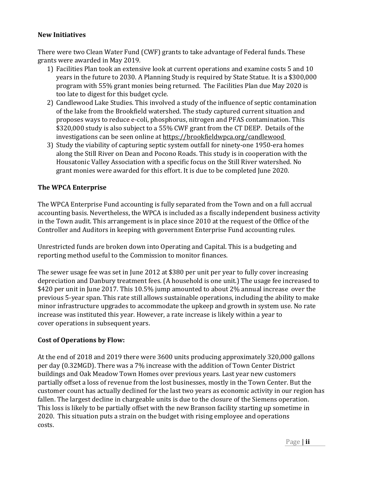#### **New Initiatives**

There were two Clean Water Fund (CWF) grants to take advantage of Federal funds. These grants were awarded in May 2019.

- 1) Facilities Plan took an extensive look at current operations and examine costs 5 and 10 years in the future to 2030. A Planning Study is required by State Statue. It is a \$300,000 program with 55% grant monies being returned. The Facilities Plan due May 2020 is too late to digest for this budget cycle.
- 2) Candlewood Lake Studies. This involved a study of the influence of septic contamination of the lake from the Brookfield watershed. The study captured current situation and proposes ways to reduce e-coli, phosphorus, nitrogen and PFAS contamination. This \$320,000 study is also subject to a 55% CWF grant from the CT DEEP. Details of the investigations can be seen online at https://brookfieldwpca.org/candlewood
- 3) Study the viability of capturing septic system outfall for ninety-one 1950-era homes along the Still River on Dean and Pocono Roads. This study is in cooperation with the Housatonic Valley Association with a specific focus on the Still River watershed. No grant monies were awarded for this effort. It is due to be completed June 2020.

#### **The WPCA Enterprise**

The WPCA Enterprise Fund accounting is fully separated from the Town and on a full accrual accounting basis. Nevertheless, the WPCA is included as a fiscally independent business activity in the Town audit. This arrangement is in place since 2010 at the request of the Office of the Controller and Auditors in keeping with government Enterprise Fund accounting rules.

Unrestricted funds are broken down into Operating and Capital. This is a budgeting and reporting method useful to the Commission to monitor finances.

The sewer usage fee was set in June 2012 at \$380 per unit per year to fully cover increasing depreciation and Danbury treatment fees. (A household is one unit.) The usage fee increased to \$420 per unit in June 2017. This 10.5% jump amounted to about 2% annual increase over the previous 5-year span. This rate still allows sustainable operations, including the ability to make minor infrastructure upgrades to accommodate the upkeep and growth in system use. No rate increase was instituted this year. However, a rate increase is likely within a year to cover operations in subsequent years.

#### **Cost of Operations by Flow:**

At the end of 2018 and 2019 there were 3600 units producing approximately 320,000 gallons per day (0.32MGD). There was a 7% increase with the addition of Town Center District buildings and Oak Meadow Town Homes over previous years. Last year new customers partially offset a loss of revenue from the lost businesses, mostly in the Town Center. But the customer count has actually declined for the last two years as economic activity in our region has fallen. The largest decline in chargeable units is due to the closure of the Siemens operation. This loss is likely to be partially offset with the new Branson facility starting up sometime in 2020. This situation puts a strain on the budget with rising employee and operations costs.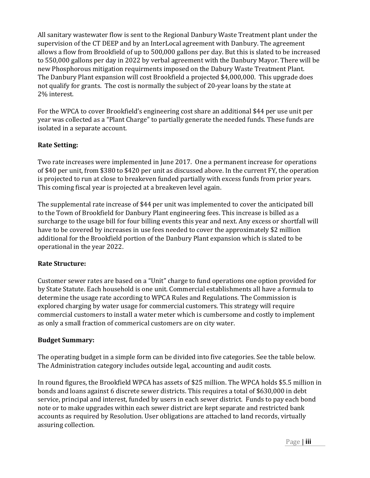All sanitary wastewater flow is sent to the Regional Danbury Waste Treatment plant under the supervision of the CT DEEP and by an InterLocal agreement with Danbury. The agreement allows a flow from Brookfield of up to 500,000 gallons per day. But this is slated to be increased to 550,000 gallons per day in 2022 by verbal agreement with the Danbury Mayor. There will be new Phosphorous mitigation requirments imposed on the Dabury Waste Treatment Plant. The Danbury Plant expansion will cost Brookfield a projected \$4,000,000. This upgrade does not qualify for grants. The cost is normally the subject of 20-year loans by the state at 2% interest.

For the WPCA to cover Brookfield's engineering cost share an additional \$44 per use unit per year was collected as a "Plant Charge" to partially generate the needed funds. These funds are isolated in a separate account.

### **Rate Setting:**

Two rate increases were implemented in June 2017. One a permanent increase for operations of \$40 per unit, from \$380 to \$420 per unit as discussed above. In the current FY, the operation is projected to run at close to breakeven funded partially with excess funds from prior years. This coming fiscal year is projected at a breakeven level again.

The supplemental rate increase of \$44 per unit was implemented to cover the anticipated bill to the Town of Brookfield for Danbury Plant engineering fees. This increase is billed as a surcharge to the usage bill for four billing events this year and next. Any excess or shortfall will have to be covered by increases in use fees needed to cover the approximately \$2 million additional for the Brookfield portion of the Danbury Plant expansion which is slated to be operational in the year 2022.

#### **Rate Structure:**

Customer sewer rates are based on a "Unit" charge to fund operations one option provided for by State Statute. Each household is one unit. Commercial establishments all have a formula to determine the usage rate according to WPCA Rules and Regulations. The Commission is explored charging by water usage for commercial customers. This strategy will require commercial customers to install a water meter which is cumbersome and costly to implement as only a small fraction of commerical customers are on city water.

#### **Budget Summary:**

The operating budget in a simple form can be divided into five categories. See the table below. The Administration category includes outside legal, accounting and audit costs.

In round figures, the Brookfield WPCA has assets of \$25 million. The WPCA holds \$5.5 million in bonds and loans against 6 discrete sewer districts. This requires a total of \$630,000 in debt service, principal and interest, funded by users in each sewer district. Funds to pay each bond note or to make upgrades within each sewer district are kept separate and restricted bank accounts as required by Resolution. User obligations are attached to land records, virtually assuring collection.

Page | **iii**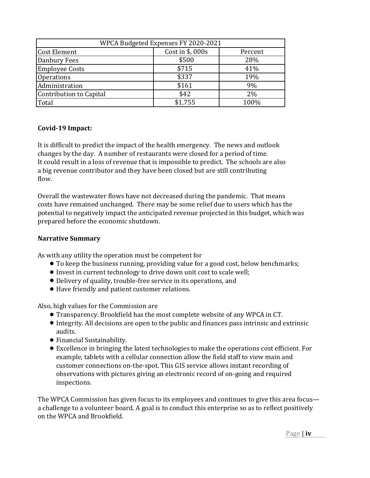| WPCA Budgeted Expenses FY 2020-2021 |                  |         |  |  |  |  |  |
|-------------------------------------|------------------|---------|--|--|--|--|--|
| <b>Cost Element</b>                 | Cost in \$, 000s | Percent |  |  |  |  |  |
| Danbury Fees                        | \$500            | 28%     |  |  |  |  |  |
| <b>Employee Costs</b>               | \$715            | 41%     |  |  |  |  |  |
| <b>Operations</b>                   | \$337            | 19%     |  |  |  |  |  |
| Administration                      | \$161            | 9%      |  |  |  |  |  |
| Contribution to Capital             | \$42             | 2%      |  |  |  |  |  |
| Total                               | \$1,755          | 100%    |  |  |  |  |  |

#### **Covid-19 Impact:**

It is difficult to predict the impact of the health emergency. The news and outlook changes by the day. A number of restaurants were closed for a period of time. It could result in a loss of revenue that is impossible to predict. The schools are also a big revenue contributor and they have been closed but are still contributing flow.

Overall the wastewater flows have not decreased during the pandemic. That means costs have remained unchanged. There may be some relief due to users which has the potential to negatively impact the anticipated revenue projected in this budget, which was prepared before the economic shutdown.

#### **Narrative Summary**

As with any utility the operation must be competent for

- To keep the business running, providing value for a good cost, below benchmarks;
- Invest in current technology to drive down unit cost to scale well;
- Delivery of quality, trouble-free service in its operations, and
- Have friendly and patient customer relations.

Also, high values for the Commission are

- Transparency. Brookfield has the most complete website of any WPCA in CT.
- Integrity. All decisions are open to the public and finances pass intrinsic and extrinsic audits.
- Financial Sustainability.
- Excellence in bringing the latest technologies to make the operations cost efficient. For example, tablets with a cellular connection allow the field staff to view main and customer connections on-the-spot. This GIS service allows instant recording of observations with pictures giving an electronic record of on-going and required inspections.

The WPCA Commission has given focus to its employees and continues to give this area focus a challenge to a volunteer board. A goal is to conduct this enterprise so as to reflect positively on the WPCA and Brookfield.

Page | **iv**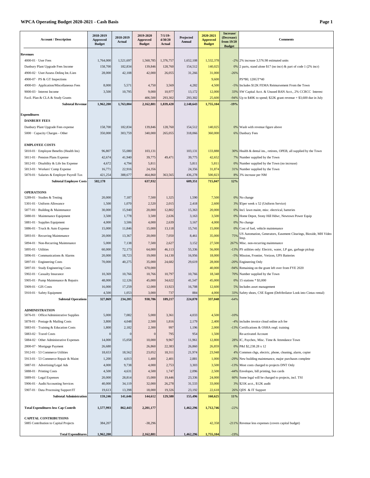#### **WPCA Operating Budget 2020-2021 - Cash Basis Page 1**

| <b>Account / Description</b>                                          | 2018-2019<br><b>Approved</b><br><b>Budget</b> | 2018-2019<br>Actual | 2019-2020<br><b>Approved</b><br><b>Budget</b> | $7/1/19$ -<br>4/30/20<br>Actual | Projected<br>Annual | 2020-2021<br><b>Approved</b><br><b>Budget</b> | Increase/<br>(Decrease)<br>from 19/20<br><b>Budget</b> | <b>Comments</b>                                                           |
|-----------------------------------------------------------------------|-----------------------------------------------|---------------------|-----------------------------------------------|---------------------------------|---------------------|-----------------------------------------------|--------------------------------------------------------|---------------------------------------------------------------------------|
| Revenues                                                              |                                               |                     |                                               |                                 |                     |                                               |                                                        |                                                                           |
| 4000-01 · User Fees                                                   | 1,764,000                                     | 1,521,697           | 1,560,785                                     | 1,376,757                       | 1,652,108           | 1,532,378                                     |                                                        | $-2\%$ 2% increase 3,576.98 estimated units                               |
| Danbury Plant Upgrade Fees Income                                     | 158,700                                       | 182,834             | 139,846                                       | 128,760                         | 154,512             | 140,025                                       | 0%                                                     | 2 parts, stand alone \$17 (no incr) & part of code 1 (2% incr)            |
| 4900-02 · User/Assess Delinq Int./Lien                                | 28,000                                        | 42,108              | 42,000                                        | 26,055                          | 31,266              | 31,000                                        | $-26%$                                                 |                                                                           |
| 4900-07 · PS & GT Inspections                                         |                                               |                     |                                               |                                 |                     | 9,600                                         |                                                        | PS*80; 120GT*40                                                           |
| 4900-03 · Application/Miscellaneous Fees                              | 8,000                                         | 5,571               | 4,750                                         | 3,569                           | 4,282               | 4,500                                         |                                                        | -5% Includes \$12K FEMA Reimursement From the Town                        |
| 9000-03 · Interest Income                                             | 3,500                                         | 10,795              | 9,000                                         | 10,977                          | 13,172              | 12,000                                        |                                                        | 33% SW Capital Acct. & Unused BAN Acct., 2% CCRCC Interest                |
| Facil. Plan & CLA & Study Grants                                      |                                               |                     | 406,500                                       | 293,302                         | 293,302             | 25,600                                        | $-94%$                                                 | Up to $$40K$ to spend; $$22K$ grant revenue $+ $3,600$ due in July        |
| <b>Subtotal Revenue</b>                                               | 1,962,200                                     | 1,763,004           | 2,162,881                                     | 1,839,420                       | 2,148,643           | 1,755,104                                     | $-19%$                                                 |                                                                           |
|                                                                       |                                               |                     |                                               |                                 |                     |                                               |                                                        |                                                                           |
| <b>Expenditures</b>                                                   |                                               |                     |                                               |                                 |                     |                                               |                                                        |                                                                           |
| <b>DANBURY FEES</b>                                                   |                                               |                     |                                               |                                 |                     |                                               |                                                        |                                                                           |
| Danbury Plant Upgrade Fees expense                                    | 158,700                                       | 182,834             | 139,846                                       | 128,760                         | 154,512             | 140,025                                       |                                                        | 0% Wash with revenue figure above                                         |
| 5000 · Capacity Charges - Other                                       | 350,000                                       | 303,759             | 340,000                                       | 265,055                         | 318,066             | 360,000                                       |                                                        | 6% Danbury Fees                                                           |
| <b>EMPLOYEE COSTS</b>                                                 |                                               |                     |                                               |                                 |                     |                                               |                                                        |                                                                           |
| 5810-01 · Employee Benefits (Health Ins)                              | 96,807                                        | 55,080              | 103,131                                       |                                 | 103,131             | 133,888                                       |                                                        | 30% Health & dental ins., retirees, OPEB, all supplied by the Town        |
| 5811-01 · Pension Plans Expense                                       | 42,674                                        | 41,940              | 39,775                                        | 49,471                          | 39,775              | 42,652                                        | 7%                                                     | Number supplied by the Town                                               |
| 5812-01 · Disability & Life Ins Expense                               | 4,672                                         | 4,794               | 5,811                                         |                                 | 5,811               | 5,811                                         | 0%                                                     | Number supplied by the Town (no increase)                                 |
| 5813-01 · Workers' Comp Expense                                       | 16,771                                        | 22,916              | 24,356                                        |                                 | 24,356              | 31,874                                        | 31%                                                    | Number supplied by the Town                                               |
| 5870-01 · Salaries & Employer Payroll Tax                             | 421,254                                       | 388,677             | 464,860                                       | 363,565                         | 436,278             | 500,823                                       | 8%                                                     | 3% increase per NM                                                        |
| <b>Subtotal Employee Costs</b>                                        | 582,178                                       |                     | 637,932                                       |                                 | 609,351             | 715,047                                       | 12%                                                    |                                                                           |
|                                                                       |                                               |                     |                                               |                                 |                     |                                               |                                                        |                                                                           |
| <b>OPERATIONS</b>                                                     |                                               |                     |                                               |                                 |                     |                                               |                                                        |                                                                           |
| 5289-01 · Studies & Testing                                           | 20,000                                        | 7,187               | 7,500                                         | 1,325                           | 1,590               | 7,500                                         |                                                        | 0% No change                                                              |
| 5301-01 · Uniform Allowance                                           | 1,500                                         | 1,070               | 2,520                                         | 2,015                           | 2,418               | 2,600                                         |                                                        | 3% \$5per week x 52 (Uniform Service)                                     |
| 5877-01 · Building & Maintenance                                      | 30,000                                        | 15,940              | 20,000                                        | 12,802                          | 15,363              | 20,000                                        | 0%                                                     | Incl. lawn maint, misc. electrical, batteries                             |
| 5880-01 · Maintenance Equipment                                       | 3,500                                         | 1,778               | 3,500                                         | 2,636                           | 3,163               | 3,500                                         | 0%                                                     | Home Depot, Stony Hill Hdwr, Newtown Power Equip                          |
| 5881-01 · Supplies Equipment                                          | 4,000                                         | 3,506               | 4,000                                         | 2,639                           | 3,167               | 4,000                                         | 0%                                                     | No change                                                                 |
| 5886-01 · Truck & Auto Expense                                        | 15,000                                        | 11,846              | 15,000                                        | 13,118                          | 15,741              | 15,000                                        | 0%                                                     | Cost of fuel, vehicle maintenance                                         |
| 5893-01 · Recurring Maintenance                                       | 20,000                                        | 13,367              | 20,000                                        | 7,050                           | 8,461               | 35,000                                        | 75%                                                    | US Automation, Generators, Easement Clearings, Bioxide, MH Video<br>Insp. |
| 5894-01 · Non-Recurring Maintenance                                   | 5,000                                         | 7,138               | 7,500                                         | 2,627                           | 3,152               | 27,500                                        |                                                        | 267% Misc. non-recurring maintenance                                      |
| 5895-01 · Utilities                                                   | 60,000                                        | 72,173              | 64,000                                        | 46,113                          | 55,336              | 56,000                                        |                                                        | -13% PS utilities only: Electric, water, LP gas, garbage pickup           |
| 5896-01 · Communications & Alarms                                     | 20,000                                        | 18,723              | 19,000                                        | 14,130                          | 16,956              | 18,000                                        | $-5%$                                                  | Mission, Frontier, Verizon, UPS Batteries                                 |
| 5897-01 · Engineering Costs                                           | 70,000                                        | 40,275              | 35,000                                        | 24,682                          | 29,619              | 28,000                                        |                                                        | -20% Engineering Only                                                     |
| 5897-01 · Study Engineering Costs                                     |                                               |                     | 670,000                                       |                                 |                     | 40,000                                        | $-94%$                                                 | Remaining on the grant left over from FYE 2020                            |
| 5902-01 · Casualty Insurance                                          | 10,369                                        | 10,766              | 10,766                                        | 10,797                          | 10,766              | 18,348                                        | 70%                                                    | Number supplied by the Town                                               |
| 5905-01 · Pump Maintenance & Repairs                                  | 48,000                                        | 12,126              | 45,000                                        | 34,622                          | 41,547              | 45,000                                        | 0%                                                     | 15 stations * \$3,000                                                     |
| 5909-01 · GIS Costs                                                   | 16,000                                        | 17,259              | 12,000                                        | 13,923                          | 16,708              | 12,600                                        | 5%                                                     | Includes asset management                                                 |
| 5910-01 · Safety Equipment                                            | 4,500                                         | 1,053               | 3,000                                         | 737                             | 884                 | 4,000                                         | 33%                                                    | Safety shoes, CSE Eqpmt (Defribrilator Look into Cintas rental)           |
| <b>Subtotal Operations</b>                                            | 327,869                                       | 234,205             | 938,786                                       | 189,217                         | 224,870             | 337,048                                       | $-64%$                                                 |                                                                           |
|                                                                       |                                               |                     |                                               |                                 |                     |                                               |                                                        |                                                                           |
| <b>ADMINISTRATION</b><br>5876-01 · Office/Administrative Supplies     | 5,000                                         | 7,082               | 5,000                                         | 3,361                           | 4,033               | 4,500                                         | $-10%$                                                 |                                                                           |
| 5878-01 · Postage & Mailing Costs                                     | 3,800                                         | 4,048               | 2,500                                         | 1,816                           | 2,179               | 2,400                                         |                                                        | -4% includes invoice cloud online ach fee                                 |
| 5883-01 · Training & Education Costs                                  | 1,800                                         | 2,182               | 2,300                                         | 997                             | 1,196               | 2,000                                         |                                                        | -13% Certifications & OSHA reqd. training                                 |
| 5883-02 · Travel Costs                                                | $\boldsymbol{0}$                              | $\bf{0}$            | $\overline{0}$                                | 795                             | 954                 | 1,500                                         |                                                        | Re-activated Account                                                      |
| 5884-02 · Other Administrative Expenses                               | 14,000                                        | 15,058              | 10,000                                        | 9,967                           | 11,961              | 12,800                                        |                                                        | 28% IC, Paychex, Misc. Time & Attendance Town                             |
| 2800-07 · Mortgage Payment                                            | 26,680                                        |                     | 26,860                                        | 22,383                          | 26,860              | 26,859                                        |                                                        | 0% P&I \$2,238.28 x 12                                                    |
| 5912-01 · 53 Commerce Utilities                                       | 18,653                                        | 18,562              | 23,052                                        | 18,311                          | 21,974              | 23,948                                        | 4%                                                     | Common chgs, electric, phone, cleaning, alarm, copier                     |
| 5913-01 · 53 Commerce Repair & Maint                                  | 1,200                                         | 4,013               | 1,400                                         | 2,401                           | 2,881               | 1,000                                         | $-29%$                                                 | New building maintenance, major purchases complete                        |
| 5887-01 · Advertising/Legal Ads                                       | 4,000                                         | 9,738               | 4,000                                         | 2,753                           | 3,303               | 3,500                                         |                                                        | -13% Most costs charged to projects DNT Only                              |
| 5888-01 - Printing Costs                                              | 4,500                                         | 4,631               | 4,500                                         | 1,747                           | 2,096               | 2,500                                         |                                                        | -44% Envelopes, bill printing, bus cards                                  |
| 5889-01 · Legal Expenses                                              | 20,000                                        | 28,814              | 15,000                                        | 19,446                          | 23,336              | 24,000                                        |                                                        | 60% Some legal will be charged to projects, incl. TSI                     |
| 5906-01 · Audit/Accounting Services                                   | 40,000                                        | 34,119              | 32,000                                        | 26,278                          | 31,533              | 33,000                                        | 3%                                                     | \$21K acct., \$12K audit                                                  |
| 5907-01 · Data Processing Support/IT                                  | 19,613                                        | 13,398              | 18,000                                        | 19,326                          | 23,192              | 22,618                                        | 26%                                                    | QDS & IT Support                                                          |
| <b>Subtotal Administration</b>                                        | 159,246                                       | 141,646             | 144,612                                       | 129,580                         | 155,496             | 160,625                                       | 11%                                                    |                                                                           |
| <b>Total Expenditures less Cap Contrib</b>                            | 1,577,993                                     | 862,443             | 2,201,177                                     |                                 | 1,462,296           | 1,712,746                                     | $-22%$                                                 |                                                                           |
|                                                                       |                                               |                     |                                               |                                 |                     |                                               |                                                        |                                                                           |
| <b>CAPITAL CONTRIBUTIONS</b><br>5885 Contribution to Capital Projects | 384,207                                       |                     | $-38,296$                                     |                                 |                     | 42,358                                        |                                                        | -211% Revenue less expenses (covers capital budget)                       |
| <b>Total Expenditures</b>                                             | 1,962,200                                     |                     | 2,162,881                                     |                                 | 1,462,296           | 1,755,104                                     | $-19%$                                                 |                                                                           |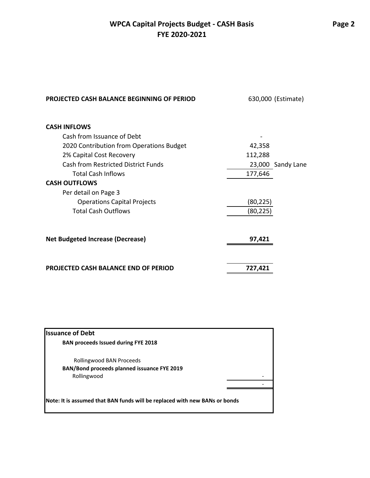## **WPCA Capital Projects Budget - CASH Basis FYE 2020-2021**

| PROJECTED CASH BALANCE BEGINNING OF PERIOD  | 630,000 (Estimate) |
|---------------------------------------------|--------------------|
|                                             |                    |
| <b>CASH INFLOWS</b>                         |                    |
| Cash from Issuance of Debt                  |                    |
| 2020 Contribution from Operations Budget    | 42,358             |
| 2% Capital Cost Recovery                    | 112,288            |
| <b>Cash from Restricted District Funds</b>  | 23,000 Sandy Lane  |
| <b>Total Cash Inflows</b>                   | 177,646            |
| <b>CASH OUTFLOWS</b>                        |                    |
| Per detail on Page 3                        |                    |
| <b>Operations Capital Projects</b>          | (80,225)           |
| <b>Total Cash Outflows</b>                  | (80, 225)          |
| <b>Net Budgeted Increase (Decrease)</b>     | 97,421             |
|                                             |                    |
| <b>PROJECTED CASH BALANCE END OF PERIOD</b> | 727,421            |

| <b>Issuance of Debt</b>                                                    |  |
|----------------------------------------------------------------------------|--|
| <b>BAN proceeds Issued during FYE 2018</b>                                 |  |
| Rollingwood BAN Proceeds                                                   |  |
| BAN/Bond proceeds planned issuance FYE 2019                                |  |
| Rollingwood                                                                |  |
|                                                                            |  |
|                                                                            |  |
| Note: It is assumed that BAN funds will be replaced with new BANs or bonds |  |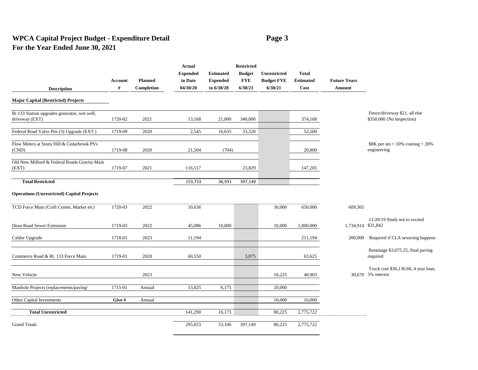#### **WPCA Capital Project Budget - Expenditure Detail Page 3 For the Year Ended June 30, 2021**

**Actual Restricted Expended Estimated Budget Unrestricted Total FYE Future Years Account Planned to Date Expended Budget FYE Estimated # Completion 04/30/20 to 6/30/20 6/30/21 6/30/21 Cost Amount Description Major Capital (Restricted) Projects** Rt 133 Station upgrades generator, wet well, Fence/driveway \$21, all else \$350,000 (No Inspection) driveway (EXT) 1720-02 2021 13,168 21,000 340,000 374,168 Federal Road Valve Pits (3) Upgrade (EXT ) 1719-09 2020 2,545 16,635 33,320 52,500 52,500 Flow Meters at Stony Hill & Cedarbrook PS's \$8K per stn + 10% conting + 20% (CND)engineering 1719-08 2020 21,504 (704) 20,800 Old New Milford & Federal Roads Gravity Main (EXT) 1719-07 2021 116,517 23,829 147,205 **Total Restricted** 153,733 36,931 397,149 **Operations (Unrestricted) Capital Projects** .......... TCD Force Main (Craft Center, Market etc) 1720-03 2022 10,636 30,000 650,000 609,365 11/20/19 Study not to exceed Dean Road Sewer Extension 1719-03 2022 45,086 10,000 10,000 1,800,000 1,800,000 1.734.914 \$31.842 Caldor Upgrade 1718-01 2023 11,194 211,194 200,000 Required if CLA sewering happens Retainage \$3,075.25, final paving Commerce Road & Rt. 133 Force Main 1719-01 2020 60,550 3,075 63,625 required Truck cost \$36,136.60, 4 year loan, 30.670 5% interest New Vehicle 2023 10,225 40,903 30,670 Manhole Projects (replacements/paving/ 1715-01 Annual 13,825 6,175 20,000 Other Capital Investments **Give #** Annual 10,000 10,000 10,000 **Total Unrestricted** 141,290 16,175 80,225 2,775,722 Grand Totals 295,023 53,106 397,149 80,225 2,775,722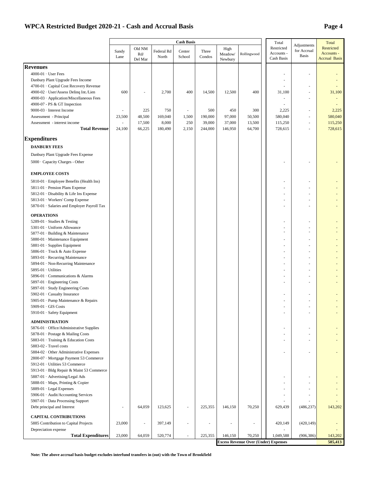#### **WPCA Restricted Budget 2020-21 - Cash and Accrual Basis Page 4**

|                                                                                |              |                                                          |                  | <b>Cash Basis</b>        |                   |                    |                  | Total                                       |                            | Total                              |
|--------------------------------------------------------------------------------|--------------|----------------------------------------------------------|------------------|--------------------------|-------------------|--------------------|------------------|---------------------------------------------|----------------------------|------------------------------------|
|                                                                                | Sandy        | Old NM                                                   | Federal Rd       | Center                   | Three             | High               |                  | Restricted                                  | Adjustments<br>for Accrual | Restricted                         |
|                                                                                | Lane         | $\mathbf{R}\mathbf{d}/% \mathbf{d}^{\prime }$<br>Del Mar | North            | School                   | Condos            | Meadow/<br>Newbury | Rollingwood      | Accounts -<br>Cash Basis                    | <b>Basis</b>               | Accounts -<br><b>Accrual Basis</b> |
| <b>Revenues</b>                                                                |              |                                                          |                  |                          |                   |                    |                  |                                             |                            |                                    |
| $4000-01$ · User Fees                                                          |              |                                                          |                  |                          |                   |                    |                  |                                             |                            |                                    |
| Danbury Plant Upgrade Fees Income                                              |              |                                                          |                  |                          |                   |                    |                  |                                             |                            |                                    |
| 4700-01 · Capital Cost Recovery Revenue                                        |              |                                                          |                  |                          |                   |                    |                  |                                             |                            |                                    |
| 4900-02 · User/Assess Delinq Int./Lien                                         | 600          | ä,                                                       | 2,700            | 400                      | 14,500            | 12,500             | 400              | 31,100                                      |                            | 31,100                             |
| 4900-03 · Application/Miscellaneous Fees                                       |              |                                                          |                  |                          |                   |                    |                  |                                             |                            |                                    |
| 4900-07 - PS & GT Inspection                                                   |              |                                                          |                  |                          |                   |                    |                  |                                             |                            |                                    |
| 9000-03 · Interest Income                                                      |              | 225                                                      | 750              |                          | 500               | 450                | 300              | 2,225                                       |                            | 2,225                              |
| Assessment - Principal                                                         | 23,500       | 48,500                                                   | 169,040          | 1,500                    | 190,000           | 97,000             | 50,500           | 580,040                                     |                            | 580,040                            |
| Assessment - interest income<br><b>Total Revenue</b>                           | ä,<br>24,100 | 17,500<br>66,225                                         | 8,000<br>180,490 | 250<br>2,150             | 39,000<br>244,000 | 37,000<br>146,950  | 13,500<br>64,700 | 115,250<br>728,615                          |                            | 115,250<br>728,615                 |
|                                                                                |              |                                                          |                  |                          |                   |                    |                  |                                             |                            |                                    |
| <b>Expenditures</b>                                                            |              |                                                          |                  |                          |                   |                    |                  |                                             |                            |                                    |
| <b>DANBURY FEES</b>                                                            |              |                                                          |                  |                          |                   |                    |                  |                                             |                            |                                    |
| Danbury Plant Upgrade Fees Expense                                             |              |                                                          |                  |                          |                   |                    |                  |                                             |                            |                                    |
| 5000 · Capacity Charges - Other                                                |              |                                                          |                  |                          |                   |                    |                  |                                             |                            |                                    |
|                                                                                |              |                                                          |                  |                          |                   |                    |                  |                                             |                            |                                    |
| <b>EMPLOYEE COSTS</b>                                                          |              |                                                          |                  |                          |                   |                    |                  |                                             |                            |                                    |
| 5810-01 · Employee Benefits (Health Ins)                                       |              |                                                          |                  |                          |                   |                    |                  |                                             |                            |                                    |
| 5811-01 - Pension Plans Expense                                                |              |                                                          |                  |                          |                   |                    |                  | ä,                                          |                            |                                    |
| 5812-01 · Disability & Life Ins Expense                                        |              |                                                          |                  |                          |                   |                    |                  |                                             |                            |                                    |
| 5813-01 · Workers' Comp Expense<br>5870-01 · Salaries and Employer Payroll Tax |              |                                                          |                  |                          |                   |                    |                  |                                             |                            |                                    |
|                                                                                |              |                                                          |                  |                          |                   |                    |                  |                                             |                            |                                    |
| <b>OPERATIONS</b>                                                              |              |                                                          |                  |                          |                   |                    |                  |                                             |                            |                                    |
| 5289-01 · Studies & Testing                                                    |              |                                                          |                  |                          |                   |                    |                  |                                             |                            |                                    |
| 5301-01 · Uniform Allowance<br>5877-01 Building & Maintenance                  |              |                                                          |                  |                          |                   |                    |                  | ÷,                                          |                            |                                    |
| 5880-01 · Maintenance Equipment                                                |              |                                                          |                  |                          |                   |                    |                  |                                             |                            |                                    |
| 5881-01 · Supplies Equipment                                                   |              |                                                          |                  |                          |                   |                    |                  | ÷,                                          |                            |                                    |
| 5886-01 Truck & Auto Expense                                                   |              |                                                          |                  |                          |                   |                    |                  |                                             |                            |                                    |
| 5893-01 · Recurring Maintenance                                                |              |                                                          |                  |                          |                   |                    |                  |                                             |                            |                                    |
| 5894-01 Non-Recurring Maintenance                                              |              |                                                          |                  |                          |                   |                    |                  | ÷,                                          |                            |                                    |
| 5895-01 · Utilities                                                            |              |                                                          |                  |                          |                   |                    |                  |                                             |                            |                                    |
| 5896-01 Communications & Alarms                                                |              |                                                          |                  |                          |                   |                    |                  |                                             |                            |                                    |
| 5897-01 · Engineering Costs<br>5897-01 · Study Engineering Costs               |              |                                                          |                  |                          |                   |                    |                  |                                             |                            |                                    |
| 5902-01 Casualty Insurance                                                     |              |                                                          |                  |                          |                   |                    |                  |                                             |                            |                                    |
| 5905-01 · Pump Maintenance & Repairs                                           |              |                                                          |                  |                          |                   |                    |                  |                                             |                            |                                    |
| 5909-01 · GIS Costs                                                            |              |                                                          |                  |                          |                   |                    |                  |                                             |                            |                                    |
| 5910-01 · Safety Equipment                                                     |              |                                                          |                  |                          |                   |                    |                  |                                             |                            |                                    |
| <b>ADMINISTRATION</b>                                                          |              |                                                          |                  |                          |                   |                    |                  |                                             |                            |                                    |
| 5876-01 Office/Administrative Supplies                                         |              |                                                          |                  |                          |                   |                    |                  |                                             |                            |                                    |
| 5878-01 · Postage & Mailing Costs                                              |              |                                                          |                  |                          |                   |                    |                  |                                             |                            |                                    |
| 5883-01 Training & Education Costs                                             |              |                                                          |                  |                          |                   |                    |                  |                                             |                            |                                    |
| 5883-02 - Travel costs                                                         |              |                                                          |                  |                          |                   |                    |                  |                                             |                            |                                    |
| 5884-02 Other Administrative Expenses                                          |              |                                                          |                  |                          |                   |                    |                  |                                             |                            |                                    |
| 2800-07 · Mortgage Payment 53 Commerce<br>5912-01 · Utilities 53 Commerce      |              |                                                          |                  |                          |                   |                    |                  |                                             |                            |                                    |
| 5913-01 · Bldg Repair & Maint 53 Commerce                                      |              |                                                          |                  |                          |                   |                    |                  |                                             |                            |                                    |
| 5887-01 Advertising/Legal Ads                                                  |              |                                                          |                  |                          |                   |                    |                  |                                             |                            |                                    |
| 5888-01 · Maps, Printing & Copier                                              |              |                                                          |                  |                          |                   |                    |                  |                                             |                            |                                    |
| 5889-01 · Legal Expenses                                                       |              |                                                          |                  |                          |                   |                    |                  |                                             |                            |                                    |
| 5906-01 · Audit/Accounting Services                                            |              |                                                          |                  |                          |                   |                    |                  |                                             |                            |                                    |
| 5907-01 · Data Processing Support                                              |              |                                                          |                  |                          |                   |                    |                  |                                             |                            |                                    |
| Debt principal and Interest                                                    |              | 64,059                                                   | 123,625          |                          | 225,355           | 146,150            | 70,250           | 629,439                                     | (486, 237)                 | 143,202                            |
| <b>CAPITAL CONTRIBUTIONS</b>                                                   |              |                                                          |                  |                          |                   |                    |                  |                                             |                            |                                    |
| 5885 Contribution to Capital Projects                                          | 23,000       | ł,                                                       | 397,149          |                          | L,                | ×,                 |                  | 420,149                                     | (420, 149)                 |                                    |
| Depreciation expense                                                           |              |                                                          |                  |                          |                   |                    |                  |                                             |                            |                                    |
| <b>Total Expenditures</b>                                                      | 23,000       | 64,059                                                   | 520,774          | $\overline{\phantom{a}}$ | 225,355           | 146,150            | 70,250           | 1,049,588                                   | (906, 386)                 | 143,202                            |
|                                                                                |              |                                                          |                  |                          |                   |                    |                  | <b>Excess Revenue Over (Under) Expenses</b> |                            | 585,413                            |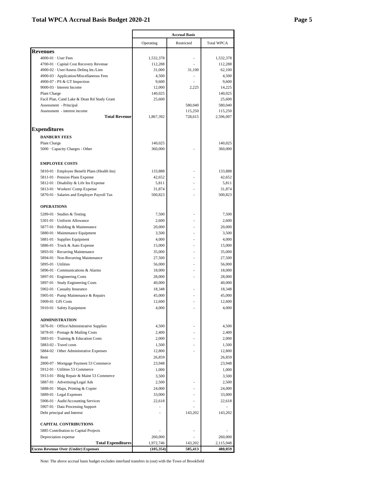#### **Total WPCA Accrual Basis Budget 2020-21 Page 5**

|                                                        | <b>Accrual Basis</b> |            |                   |  |  |
|--------------------------------------------------------|----------------------|------------|-------------------|--|--|
|                                                        | Operating            | Restricted | <b>Total WPCA</b> |  |  |
| <b>Revenues</b>                                        |                      |            |                   |  |  |
| $4000-01$ · User Fees                                  | 1,532,378            |            | 1,532,378         |  |  |
| 4700-01 · Capital Cost Recovery Revenue                | 112,288              |            | 112,288           |  |  |
| 4900-02 · User/Assess Deling Int./Lien                 | 31,000               | 31,100     | 62,100            |  |  |
| 4900-03 · Application/Miscellaneous Fees               | 4,500                |            | 4,500             |  |  |
| 4900-07 - PS & GT Inspection                           | 9,600                |            | 9,600             |  |  |
| 9000-03 · Interest Income                              | 12,000               | 2,225      | 14,225            |  |  |
| Plant Charge                                           | 140,025              |            | 140,025           |  |  |
| Facil Plan, Cand Lake & Dean Rd Study Grant            | 25,600               | 580,040    | 25,600<br>580,040 |  |  |
| Assessment - Principal<br>Assessment - interest income |                      | 115,250    | 115,250           |  |  |
| <b>Total Revenue</b>                                   | 1,867,392            | 728,615    | 2,596,007         |  |  |
|                                                        |                      |            |                   |  |  |
| <b>Expenditures</b>                                    |                      |            |                   |  |  |
| <b>DANBURY FEES</b>                                    |                      |            |                   |  |  |
| Plant Charge                                           | 140,025              |            | 140,025           |  |  |
| 5000 · Capacity Charges - Other                        | 360,000              |            | 360,000           |  |  |
| <b>EMPLOYEE COSTS</b>                                  |                      |            |                   |  |  |
| 5810-01 · Employee Benefit Plans (Health Ins)          | 133,888              |            | 133,888           |  |  |
| 5811-01 · Pension Plans Expense                        | 42,652               |            | 42,652            |  |  |
| 5812-01 · Disability & Life Ins Expense                | 5.811                |            | 5,811             |  |  |
| 5813-01 · Workers' Comp Expense                        | 31,874               |            | 31,874            |  |  |
| 5870-01 · Salaries and Employer Payroll Tax            | 500,823              |            | 500,823           |  |  |
| <b>OPERATIONS</b>                                      |                      |            |                   |  |  |
| 5289-01 · Studies & Testing                            | 7,500                |            | 7,500             |  |  |
| 5301-01 · Uniform Allowance                            | 2,600                |            | 2,600             |  |  |
| 5877-01 · Building & Maintenance                       | 20,000               |            | 20,000            |  |  |
| 5880-01 · Maintenance Equipment                        | 3,500                | ٠          | 3,500             |  |  |
| 5881-01 · Supplies Equipment                           | 4,000                |            | 4,000             |  |  |
| 5886-01 · Truck & Auto Expense                         | 15,000               | ٠          | 15,000            |  |  |
| 5893-01 · Recurring Maintenance                        | 35,000               |            | 35,000            |  |  |
| 5894-01 · Non-Recurring Maintenance                    | 27,500               |            | 27,500            |  |  |
| 5895-01 · Utilities                                    | 56,000               |            | 56,000            |  |  |
| 5896-01 · Communications & Alarms                      | 18,000               |            | 18,000            |  |  |
| 5897-01 · Engineering Costs                            | 28,000               |            | 28,000            |  |  |
| 5897-01 · Study Engineering Costs                      | 40,000               |            | 40,000            |  |  |
| 5902-01 · Casualty Insurance                           | 18,348               |            | 18,348            |  |  |
| 5905-01 · Pump Maintenance & Repairs                   | 45,000               |            | 45,000            |  |  |
| 5909-01 GIS Costs                                      | 12,600               |            | 12,600            |  |  |
| 5910-01 · Safety Equipment                             | 4,000                |            | 4,000             |  |  |
| <b>ADMINISTRATION</b>                                  |                      |            |                   |  |  |
| 5876-01 · Office/Administrative Supplies               | 4,500                |            | 4,500             |  |  |
| 5878-01 · Postage & Mailing Costs                      | 2,400                |            | 2,400             |  |  |
| 5883-01 · Training & Education Costs                   | 2,000                |            | 2,000             |  |  |
| 5883-02 - Travel costs                                 | 1,500                |            | 1,500             |  |  |
| 5884-02 Other Administrative Expenses                  | 12,800               |            | 12,800            |  |  |
| Rent                                                   | 26,859               |            | 26,859            |  |  |
| 2800-07 · Mortgage Payment 53 Commerce                 | 23,948               |            | 23,948            |  |  |
| 5912-01 · Utilities 53 Commerce                        | 1,000                |            | 1,000             |  |  |
| 5913-01 · Bldg Repair & Maint 53 Commerce              | 3,500                |            | 3,500             |  |  |
| 5887-01 · Advertising/Legal Ads                        | 2,500                |            | 2,500             |  |  |
| 5888-01 · Maps, Printing & Copier                      | 24,000               |            | 24,000            |  |  |
| 5889-01 · Legal Expenses                               | 33,000               |            | 33,000            |  |  |
| 5906-01 · Audit/Accounting Services                    | 22,618               |            | 22,618            |  |  |
| 5907-01 · Data Processing Support                      |                      |            |                   |  |  |
| Debt principal and Interest                            |                      | 143,202    | 143,202           |  |  |
| <b>CAPITAL CONTRIBUTIONS</b>                           |                      |            |                   |  |  |
| 5885 Contribution to Capital Projects                  |                      |            |                   |  |  |
| Depreciation expense                                   | 260,000              |            | 260,000           |  |  |
| <b>Total Expenditures</b>                              | 1,972,746            | 143,202    | 2,115,948         |  |  |
| <b>Excess Revenue Over (Under) Expenses</b>            | (105, 354)           | 585,413    | 480,059           |  |  |

Note: The above accrual basis budget excludes interfund transfers in (out) with the Town of Brookfield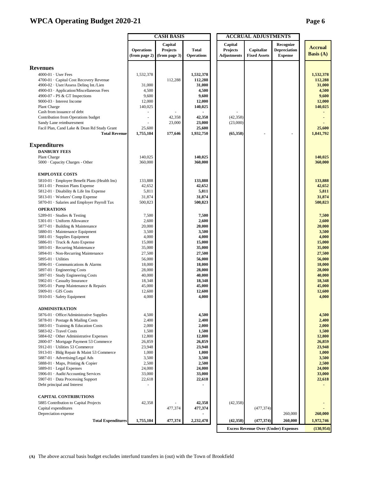## **WPCA Operating Budget 2020-21 Page 6**

|                                               |                   | <b>CASH BASIS</b> |                   |                    | <b>ACCRUAL ADJUSTMENTS</b>                  |                     |                    |
|-----------------------------------------------|-------------------|-------------------|-------------------|--------------------|---------------------------------------------|---------------------|--------------------|
|                                               |                   | Capital           |                   | Capital            |                                             | Recognize           |                    |
|                                               | <b>Operations</b> | <b>Projects</b>   | <b>Total</b>      | <b>Projects</b>    | Capitalize                                  | <b>Depreciation</b> | <b>Accrual</b>     |
|                                               | (from page 2)     | (from page 3)     | <b>Operations</b> | <b>Adjustments</b> | <b>Fixed Assets</b>                         | <b>Expense</b>      | <b>Basis</b> $(A)$ |
|                                               |                   |                   |                   |                    |                                             |                     |                    |
| <b>Revenues</b>                               |                   |                   |                   |                    |                                             |                     |                    |
| $4000-01$ $\cdot$ User Fees                   | 1,532,378         |                   | 1,532,378         |                    |                                             |                     | 1,532,378          |
| 4700-01 · Capital Cost Recovery Revenue       |                   | 112,288           | 112,288           |                    |                                             |                     | 112,288            |
| 4900-02 · User/Assess Delinq Int./Lien        | 31,000            |                   | 31,000            |                    |                                             |                     | 31,000             |
| 4900-03 · Application/Miscellaneous Fees      | 4,500             |                   | 4,500             |                    |                                             |                     | 4,500              |
| 4900-07 - PS & GT Inspections                 | 9,600             |                   | 9,600             |                    |                                             |                     | 9,600              |
| 9000-03 · Interest Income                     | 12,000            |                   | 12,000            |                    |                                             |                     | 12,000             |
| Plant Charge                                  | 140,025           |                   | 140,025           |                    |                                             |                     | 140,025            |
| Cash from issuance of debt                    |                   |                   |                   |                    |                                             |                     |                    |
| Contribution from Operations budget           | ÷,                | 42,358            | 42,358            | (42, 358)          |                                             |                     |                    |
| Sandy Lane reimburesment                      |                   | 23,000            | 23,000            | (23,000)           |                                             |                     |                    |
| Facil Plan, Cand Lake & Dean Rd Study Grant   | 25,600            |                   | 25,600            |                    |                                             |                     | 25,600             |
| <b>Total Revenue</b>                          | 1,755,104         | 177,646           | 1,932,750         | (65,358)           |                                             | ٠                   | 1,841,792          |
|                                               |                   |                   |                   |                    |                                             |                     |                    |
| <b>Expenditures</b>                           |                   |                   |                   |                    |                                             |                     |                    |
| <b>DANBURY FEES</b>                           |                   |                   |                   |                    |                                             |                     |                    |
| Plant Charge                                  | 140,025           |                   | 140,025           |                    |                                             |                     | 140,025            |
| 5000 · Capacity Charges - Other               | 360,000           |                   | 360,000           |                    |                                             |                     | 360,000            |
|                                               |                   |                   |                   |                    |                                             |                     |                    |
| <b>EMPLOYEE COSTS</b>                         |                   |                   |                   |                    |                                             |                     |                    |
| 5810-01 · Employee Benefit Plans (Health Ins) | 133,888           |                   | 133,888           |                    |                                             |                     | 133,888            |
| 5811-01 · Pension Plans Expense               | 42,652            |                   | 42,652            |                    |                                             |                     | 42,652             |
| 5812-01 · Disability & Life Ins Expense       | 5,811             |                   | 5,811             |                    |                                             |                     | 5,811              |
| 5813-01 · Workers' Comp Expense               | 31,874            |                   | 31,874            |                    |                                             |                     | 31,874             |
| 5870-01 · Salaries and Employer Payroll Tax   | 500,823           |                   | 500,823           |                    |                                             |                     | 500,823            |
| <b>OPERATIONS</b>                             |                   |                   |                   |                    |                                             |                     |                    |
| 5289-01 · Studies & Testing                   | 7,500             |                   | 7,500             |                    |                                             |                     | 7,500              |
| 5301-01 · Uniform Allowance                   | 2,600             |                   | 2,600             |                    |                                             |                     | 2,600              |
| 5877-01 · Building & Maintenance              | 20,000            |                   | 20,000            |                    |                                             |                     | 20,000             |
| 5880-01 · Maintenance Equipment               | 3,500             |                   | 3,500             |                    |                                             |                     | 3,500              |
| 5881-01 · Supplies Equipment                  | 4,000             |                   | 4,000             |                    |                                             |                     | 4,000              |
| 5886-01 · Truck & Auto Expense                | 15,000            |                   | 15,000            |                    |                                             |                     | 15,000             |
| 5893-01 · Recurring Maintenance               | 35,000            |                   | 35,000            |                    |                                             |                     | 35,000             |
| 5894-01 · Non-Recurring Maintenance           | 27,500            |                   | 27,500            |                    |                                             |                     | 27,500             |
| 5895-01 · Utilities                           | 56,000            |                   | 56,000            |                    |                                             |                     | 56,000             |
| 5896-01 · Communications & Alarms             | 18,000            |                   | 18,000            |                    |                                             |                     | 18,000             |
| 5897-01 · Engineering Costs                   | 28,000            |                   | 28,000            |                    |                                             |                     | 28,000             |
| 5897-01 · Study Engineering Costs             | 40,000            |                   | 40,000            |                    |                                             |                     | 40,000             |
| 5902-01 · Casualty Insurance                  | 18,348            |                   | 18,348            |                    |                                             |                     | 18,348             |
| 5905-01 · Pump Maintenance & Repairs          | 45,000            |                   | 45,000            |                    |                                             |                     | 45,000             |
| 5909-01 · GIS Costs                           | 12,600            |                   | 12,600            |                    |                                             |                     | 12,600             |
| 5910-01 · Safety Equipment                    | 4,000             |                   | 4,000             |                    |                                             |                     | 4,000              |
|                                               |                   |                   |                   |                    |                                             |                     |                    |
| <b>ADMINISTRATION</b>                         |                   |                   |                   |                    |                                             |                     |                    |
| 5876-01 Office/Administrative Supplies        | 4,500             |                   | 4,500             |                    |                                             |                     | 4,500              |
| 5878-01 · Postage & Mailing Costs             | 2,400             |                   | 2,400             |                    |                                             |                     | 2,400              |
| 5883-01 · Training & Education Costs          | 2,000             |                   | 2,000             |                    |                                             |                     | 2,000              |
| 5883-02 - Travel Costs                        | 1,500             |                   | 1,500             |                    |                                             |                     | 1,500              |
| 5884-02 · Other Administrative Expenses       | 12,800            |                   | 12,800            |                    |                                             |                     | 12,800             |
| 2800-07 · Mortgage Payment 53 Commerce        | 26,859            |                   | 26,859            |                    |                                             |                     | 26,859             |
| 5912-01 · Utilities 53 Commerce               | 23,948            |                   | 23,948            |                    |                                             |                     | 23,948             |
| 5913-01 · Bldg Repair & Maint 53 Commerce     | 1,000             |                   | 1,000             |                    |                                             |                     | 1,000              |
| 5887-01 · Advertising/Legal Ads               | 3,500             |                   | 3,500             |                    |                                             |                     | 3,500              |
| 5888-01 · Maps, Printing & Copier             | 2,500             |                   | 2,500             |                    |                                             |                     | 2,500              |
| 5889-01 · Legal Expenses                      | 24,000            |                   | 24,000            |                    |                                             |                     | 24,000             |
| 5906-01 · Audit/Accounting Services           | 33,000            |                   | 33,000            |                    |                                             |                     | 33,000             |
| 5907-01 · Data Processing Support             | 22,618            |                   | 22,618            |                    |                                             |                     | 22,618             |
| Debt principal and Interest                   |                   |                   |                   |                    |                                             |                     |                    |
|                                               |                   |                   |                   |                    |                                             |                     |                    |
| <b>CAPITAL CONTRIBUTIONS</b>                  |                   |                   |                   |                    |                                             |                     |                    |
| 5885 Contribution to Capital Projects         | 42,358            |                   | 42,358            | (42, 358)          |                                             |                     |                    |
| Capital expenditures                          |                   | 477,374           | 477,374           |                    | (477, 374)                                  |                     |                    |
| Depreciation expense                          |                   |                   |                   |                    |                                             | 260,000             | 260,000            |
| <b>Total Expenditures</b>                     | 1,755,104         | 477,374           | 2,232,478         | (42, 358)          | (477, 374)                                  | 260,000             | 1,972,746          |
|                                               |                   |                   |                   |                    |                                             |                     |                    |
|                                               |                   |                   |                   |                    | <b>Excess Revenue Over (Under) Expenses</b> |                     | (130, 954)         |